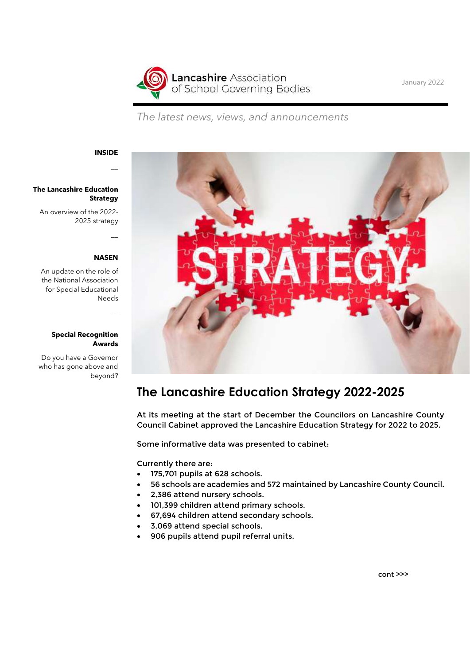

January 2022

The latest news, views, and announcements

#### INSIDE

 $\overline{\phantom{a}}$ 

### The Lancashire Education Strategy

An overview of the 2022- 2025 strategy

#### NASEN

 $\overline{\phantom{a}}$ 

 $\overline{\phantom{a}}$ 

An update on the role of the National Association for Special Educational Needs

#### Special Recognition Awards

Do you have a Governor who has gone above and beyond?



## The Lancashire Education Strategy 2022-2025

At its meeting at the start of December the Councilors on Lancashire County Council Cabinet approved the Lancashire Education Strategy for 2022 to 2025.

Some informative data was presented to cabinet:

Currently there are:

- 175,701 pupils at 628 schools.
- 56 schools are academies and 572 maintained by Lancashire County Council.
- 2,386 attend nursery schools.
- 101,399 children attend primary schools.
- 67,694 children attend secondary schools.
- 3,069 attend special schools.
- 906 pupils attend pupil referral units.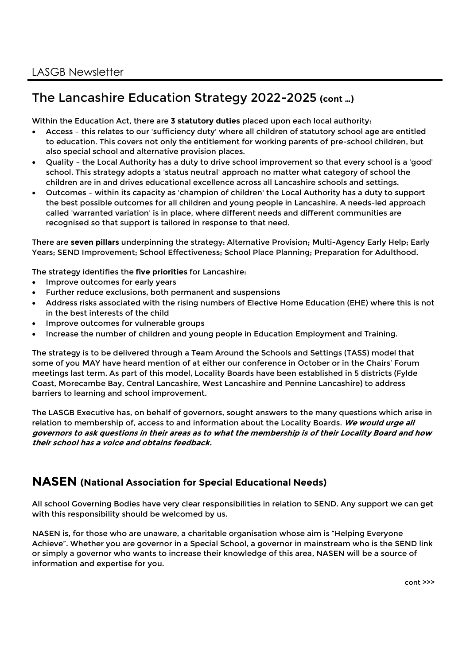# The Lancashire Education Strategy 2022-2025 (cont …)

Within the Education Act, there are 3 statutory duties placed upon each local authority:

- Access this relates to our 'sufficiency duty' where all children of statutory school age are entitled to education. This covers not only the entitlement for working parents of pre-school children, but also special school and alternative provision places.
- Quality the Local Authority has a duty to drive school improvement so that every school is a 'good' school. This strategy adopts a 'status neutral' approach no matter what category of school the children are in and drives educational excellence across all Lancashire schools and settings.
- Outcomes within its capacity as 'champion of children' the Local Authority has a duty to support the best possible outcomes for all children and young people in Lancashire. A needs-led approach called 'warranted variation' is in place, where different needs and different communities are recognised so that support is tailored in response to that need.

There are seven pillars underpinning the strategy: Alternative Provision; Multi-Agency Early Help; Early Years; SEND Improvement; School Effectiveness; School Place Planning; Preparation for Adulthood.

The strategy identifies the five priorities for Lancashire:

- Improve outcomes for early years
- Further reduce exclusions, both permanent and suspensions
- Address risks associated with the rising numbers of Elective Home Education (EHE) where this is not in the best interests of the child
- Improve outcomes for vulnerable groups
- Increase the number of children and young people in Education Employment and Training.

The strategy is to be delivered through a Team Around the Schools and Settings (TASS) model that some of you MAY have heard mention of at either our conference in October or in the Chairs' Forum meetings last term. As part of this model, Locality Boards have been established in 5 districts (Fylde Coast, Morecambe Bay, Central Lancashire, West Lancashire and Pennine Lancashire) to address barriers to learning and school improvement.

The LASGB Executive has, on behalf of governors, sought answers to the many questions which arise in relation to membership of, access to and information about the Locality Boards. We would urge all governors to ask questions in their areas as to what the membership is of their Locality Board and how their school has a voice and obtains feedback.

### NASEN (National Association for Special Educational Needs)

All school Governing Bodies have very clear responsibilities in relation to SEND. Any support we can get with this responsibility should be welcomed by us.

NASEN is, for those who are unaware, a charitable organisation whose aim is "Helping Everyone Achieve". Whether you are governor in a Special School, a governor in mainstream who is the SEND link or simply a governor who wants to increase their knowledge of this area, NASEN will be a source of information and expertise for you.